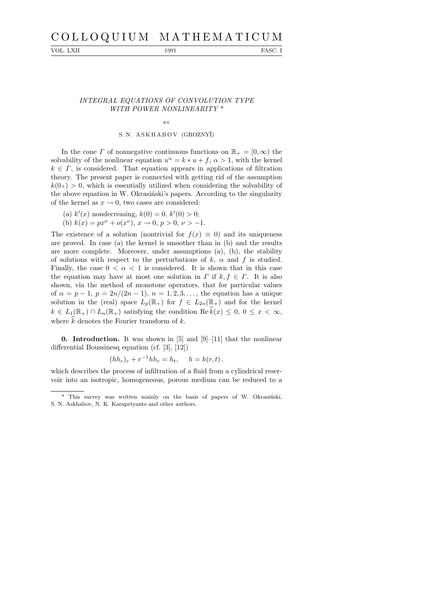# C O L L O Q U I U M M A T H E M A T I C U M

VOL. LXII 1991 PASC. I

### INTEGRAL EQUATIONS OF CONVOLUTION TYPE WITH POWER NONLINEARITY \*

## BY S. N. ASKHABOV (GROZNYĬ)

In the cone  $\Gamma$  of nonnegative continuous functions on  $\mathbb{R}_+ = [0, \infty)$  the solvability of the nonlinear equation  $u^{\alpha} = k * u + f$ ,  $\alpha > 1$ , with the kernel  $k \in \Gamma$ , is considered. That equation appears in applications of filtration theory. The present paper is connected with getting rid of the assumption  $k(0+) > 0$ , which is essentially utilized when considering the solvability of the above equation in W. Okrasinski's papers. According to the singularity of the kernel as  $x \to 0$ , two cases are considered:

- (a)  $k'(x)$  nondecreasing,  $k(0) = 0$ ,  $k'(0) > 0$ ;
- (b)  $k(x) = px^{\nu} + o(x^{\nu})$ ,  $x \to 0$ ,  $p > 0$ ,  $\nu > -1$ .

The existence of a solution (nontrivial for  $f(x) \equiv 0$ ) and its uniqueness are proved. In case (a) the kernel is smoother than in (b) and the results are more complete. Moreover, under assumptions (a), (b), the stability of solutions with respect to the perturbations of  $k$ ,  $\alpha$  and  $f$  is studied. Finally, the case  $0 < \alpha < 1$  is considered. It is shown that in this case the equation may have at most one solution in  $\Gamma$  if  $k, f \in \Gamma$ . It is also shown, via the method of monotone operators, that for particular values of  $\alpha = p - 1$ ,  $p = 2n/(2n - 1)$ ,  $n = 1, 2, 3, \ldots$ , the equation has a unique solution in the (real) space  $L_p(\mathbb{R}_+)$  for  $f \in L_{2n}(\mathbb{R}_+)$  and for the kernel  $k \in L_1(\mathbb{R}_+) \cap L_n(\mathbb{R}_+)$  satisfying the condition  $\text{Re } \hat{k}(x) \leq 0, 0 \leq x < \infty$ , where  $\hat{k}$  denotes the Fourier transform of k.

**0. Introduction.** It was shown in  $[5]$  and  $[9]-[11]$  that the nonlinear differential Boussinesq equation (cf. [3], [12])

$$
(hh_r)_r + r^{-1}hh_r = h_t, \quad h = h(r,t),
$$

which describes the process of infiltration of a fluid from a cylindrical reservoir into an isotropic, homogeneous, porous medium can be reduced to a

<sup>\*</sup> This survey was written mainly on the basis of papers of W. Okrasiński, S. N. Askhabov, N. K. Karapetyants and other authors.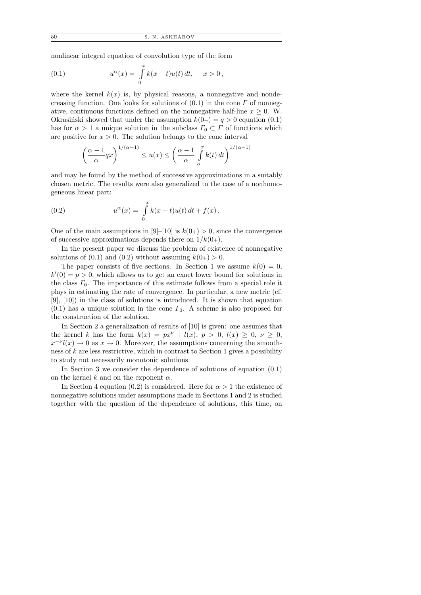50 S. N. ASKHABOV

nonlinear integral equation of convolution type of the form

(0.1) 
$$
u^{\alpha}(x) = \int_{0}^{x} k(x - t)u(t) dt, \quad x > 0,
$$

where the kernel  $k(x)$  is, by physical reasons, a nonnegative and nondecreasing function. One looks for solutions of  $(0.1)$  in the cone  $\Gamma$  of nonnegative, continuous functions defined on the nonnegative half-line  $x \geq 0$ . W. Okrasiński showed that under the assumption  $k(0+) = q > 0$  equation (0.1) has for  $\alpha > 1$  a unique solution in the subclass  $\Gamma_0 \subset \Gamma$  of functions which are positive for  $x > 0$ . The solution belongs to the cone interval

$$
\left(\frac{\alpha-1}{\alpha}qx\right)^{1/(\alpha-1)} \le u(x) \le \left(\frac{\alpha-1}{\alpha}\int\limits_{o}^{x}k(t)\,dt\right)^{1/(\alpha-1)}
$$

and may be found by the method of successive approximations in a suitably chosen metric. The results were also generalized to the case of a nonhomogeneous linear part:

(0.2) 
$$
u^{\alpha}(x) = \int_{0}^{x} k(x - t)u(t) dt + f(x).
$$

One of the main assumptions in [9]–[10] is  $k(0+) > 0$ , since the convergence of successive approximations depends there on  $1/k(0+)$ .

In the present paper we discuss the problem of existence of nonnegative solutions of  $(0.1)$  and  $(0.2)$  without assuming  $k(0+) > 0$ .

The paper consists of five sections. In Section 1 we assume  $k(0) = 0$ ,  $k'(0) = p > 0$ , which allows us to get an exact lower bound for solutions in the class  $\Gamma_0$ . The importance of this estimate follows from a special role it plays in estimating the rate of convergence. In particular, a new metric (cf. [9], [10]) in the class of solutions is introduced. It is shown that equation  $(0.1)$  has a unique solution in the cone  $\Gamma_0$ . A scheme is also proposed for the construction of the solution.

In Section 2 a generalization of results of [10] is given: one assumes that the kernel k has the form  $k(x) = px^{\nu} + l(x), p > 0, l(x) \geq 0, \nu \geq 0$ ,  $x^{-\nu}l(x) \to 0$  as  $x \to 0$ . Moreover, the assumptions concerning the smoothness of  $k$  are less restrictive, which in contrast to Section 1 gives a possibility to study not necessarily monotonic solutions.

In Section 3 we consider the dependence of solutions of equation (0.1) on the kernel  $k$  and on the exponent  $\alpha$ .

In Section 4 equation (0.2) is considered. Here for  $\alpha > 1$  the existence of nonnegative solutions under assumptions made in Sections 1 and 2 is studied together with the question of the dependence of solutions, this time, on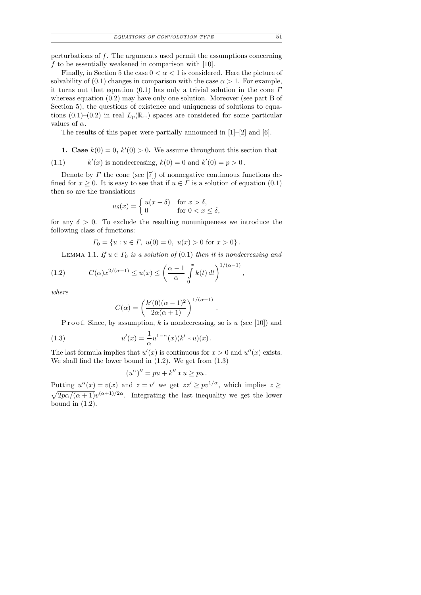perturbations of f. The arguments used permit the assumptions concerning f to be essentially weakened in comparison with  $[10]$ .

Finally, in Section 5 the case  $0 < \alpha < 1$  is considered. Here the picture of solvability of (0.1) changes in comparison with the case  $\alpha > 1$ . For example, it turns out that equation (0.1) has only a trivial solution in the cone  $\Gamma$ whereas equation (0.2) may have only one solution. Moreover (see part B of Section 5), the questions of existence and uniqueness of solutions to equations  $(0.1)$ – $(0.2)$  in real  $L_n(\mathbb{R}_+)$  spaces are considered for some particular values of  $\alpha$ .

The results of this paper were partially announced in [1]–[2] and [6].

**1.** Case  $k(0) = 0$ ,  $k'(0) > 0$ . We assume throughout this section that

 $(1.1)$  $\ell'(x)$  is nondecreasing,  $k(0) = 0$  and  $k'(0) = p > 0$ .

Denote by  $\Gamma$  the cone (see [7]) of nonnegative continuous functions defined for  $x \geq 0$ . It is easy to see that if  $u \in \Gamma$  is a solution of equation (0.1) then so are the translations

$$
u_{\delta}(x) = \begin{cases} u(x - \delta) & \text{for } x > \delta, \\ 0 & \text{for } 0 < x \le \delta, \end{cases}
$$

for any  $\delta > 0$ . To exclude the resulting nonuniqueness we introduce the following class of functions:

$$
\Gamma_0 = \{ u : u \in \Gamma, \ u(0) = 0, \ u(x) > 0 \text{ for } x > 0 \}.
$$

LEMMA 1.1. If  $u \in \Gamma_0$  is a solution of (0.1) then it is nondecreasing and

,

.

(1.2) 
$$
C(\alpha)x^{2/(\alpha-1)} \le u(x) \le \left(\frac{\alpha-1}{\alpha}\int_{0}^{x}k(t) dt\right)^{1/(\alpha-1)}
$$

where

$$
C(\alpha) = \left(\frac{k'(0)(\alpha - 1)^2}{2\alpha(\alpha + 1)}\right)^{1/(\alpha - 1)}
$$

P r o o f. Since, by assumption, k is nondecreasing, so is u (see [10]) and

(1.3) 
$$
u'(x) = \frac{1}{\alpha} u^{1-\alpha}(x) (k' * u)(x).
$$

The last formula implies that  $u'(x)$  is continuous for  $x > 0$  and  $u''(x)$  exists. We shall find the lower bound in (1.2). We get from (1.3)

$$
(u^{\alpha})'' = pu + k'' * u \ge pu.
$$

Putting  $u^{\alpha}(x) = v(x)$  and  $z = v'$  we get  $zz' \geq pv^{1/\alpha}$ , which implies  $z \geq$  $\sqrt{\frac{2p\alpha}{(\alpha+1)}}v^{(\alpha+1)/2\alpha}$ . Integrating the last inequality we get the lower bound in  $(1.2)$ .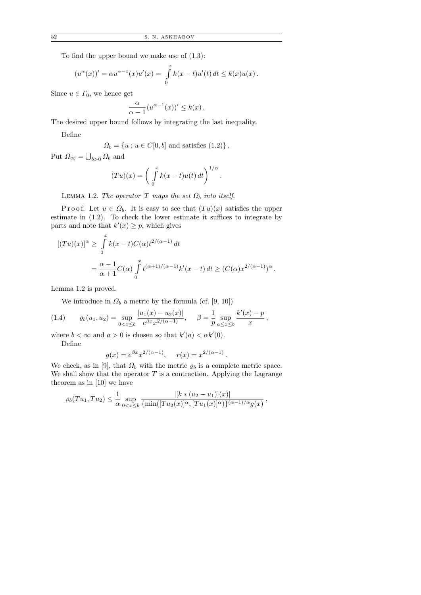To find the upper bound we make use of (1.3):

$$
(u^{\alpha}(x))' = \alpha u^{\alpha-1}(x)u'(x) = \int_{0}^{x} k(x-t)u'(t) dt \le k(x)u(x).
$$

Since  $u \in \Gamma_0$ , we hence get

$$
\frac{\alpha}{\alpha-1}(u^{\alpha-1}(x))' \leq k(x).
$$

The desired upper bound follows by integrating the last inequality.

Define

$$
\Omega_b = \{ u : u \in C[0, b] \text{ and satisfies (1.2)} \}.
$$

Put  $\Omega_{\infty} = \bigcup_{b>0} \Omega_b$  and

$$
(Tu)(x) = \left(\int_{0}^{x} k(x-t)u(t) dt\right)^{1/\alpha}.
$$

LEMMA 1.2. The operator T maps the set  $\Omega_b$  into itself.

P r o o f. Let  $u \in \Omega_b$ . It is easy to see that  $(Tu)(x)$  satisfies the upper estimate in (1.2). To check the lower estimate it suffices to integrate by parts and note that  $k'(x) \geq p$ , which gives

$$
[(Tu)(x)]^{\alpha} \ge \int_{0}^{x} k(x-t)C(\alpha)t^{2/(\alpha-1)} dt
$$
  
= 
$$
\frac{\alpha-1}{\alpha+1}C(\alpha)\int_{0}^{x} t^{(\alpha+1)/(\alpha-1)}k'(x-t) dt \ge (C(\alpha)x^{2/(\alpha-1)})^{\alpha}
$$

.

Lemma 1.2 is proved.

We introduce in  $\Omega_b$  a metric by the formula (cf. [9, 10])

(1.4) 
$$
\varrho_b(u_1, u_2) = \sup_{0 < x \leq b} \frac{|u_1(x) - u_2(x)|}{e^{\beta x} x^{2/(\alpha - 1)}}, \quad \beta = \frac{1}{p} \sup_{a \leq x \leq b} \frac{k'(x) - p}{x},
$$

where  $b < \infty$  and  $a > 0$  is chosen so that  $k'(a) < \alpha k'(0)$ . Define

$$
= 100
$$

$$
g(x) = e^{\beta x} x^{2/(\alpha - 1)},
$$
  $r(x) = x^{2/(\alpha - 1)}$ 

.

We check, as in [9], that  $\Omega_b$  with the metric  $\rho_b$  is a complete metric space. We shall show that the operator  $T$  is a contraction. Applying the Lagrange theorem as in [10] we have

$$
\varrho_b(Tu_1, Tu_2) \leq \frac{1}{\alpha} \sup_{0 < x \leq b} \frac{|[k * (u_2 - u_1)](x)|}{\{\min([Tu_2(x)]^\alpha, [Tu_1(x)]^\alpha\}\}^{(\alpha - 1)/\alpha} g(x)},
$$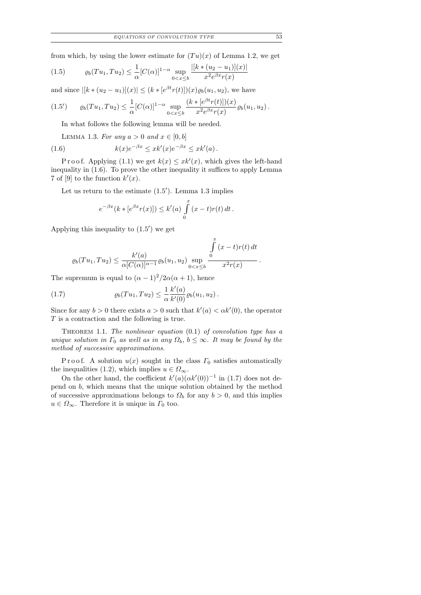from which, by using the lower estimate for  $(Tu)(x)$  of Lemma 1.2, we get

$$
(1.5) \qquad \varrho_b(Tu_1, Tu_2) \le \frac{1}{\alpha} [C(\alpha)]^{1-\alpha} \sup_{0 < x \le b} \frac{|[k * (u_2 - u_1)](x)|}{x^2 e^{\beta x} r(x)}
$$

and since  $|[k*(u_2 - u_1)](x)| \leq (k*[e^{\beta t}r(t)])(x)\varrho_b(u_1, u_2)$ , we have

$$
(1.5') \qquad \varrho_b(Tu_1, Tu_2) \leq \frac{1}{\alpha} [C(\alpha)]^{1-\alpha} \sup_{0 < x \leq b} \frac{(k * [e^{\beta t}r(t)])(x)}{x^2 e^{\beta x} r(x)} \varrho_b(u_1, u_2).
$$

In what follows the following lemma will be needed.

LEMMA 1.3. For any  $a > 0$  and  $x \in [0, b]$ 

(1.6) 
$$
k(x)e^{-\beta x} \leq xk'(x)e^{-\beta x} \leq xk'(a).
$$

P r o o f. Applying (1.1) we get  $k(x) \leq xk'(x)$ , which gives the left-hand inequality in (1.6). To prove the other inequality it suffices to apply Lemma 7 of [9] to the function  $k'(x)$ .

Let us return to the estimate  $(1.5')$ . Lemma 1.3 implies

$$
e^{-\beta x} (k * [e^{\beta x} r(x)]) \le k'(a) \int_{0}^{x} (x - t)r(t) dt.
$$

Applying this inequality to  $(1.5)$  we get

$$
\varrho_b(Tu_1, Tu_2) \le \frac{k'(a)}{\alpha [C(\alpha)]^{\alpha - 1}} \varrho_b(u_1, u_2) \sup_{0 < x \le b} \frac{\int\limits_0^x (x - t)r(t) dt}{x^2 r(x)}
$$

The supremum is equal to  $(\alpha - 1)^2/2\alpha(\alpha + 1)$ , hence

(1.7) 
$$
\varrho_b(Tu_1, Tu_2) \leq \frac{1}{\alpha} \frac{k'(a)}{k'(0)} \varrho_b(u_1, u_2).
$$

Since for any  $b > 0$  there exists  $a > 0$  such that  $k'(a) < \alpha k'(0)$ , the operator T is a contraction and the following is true.

THEOREM 1.1. The nonlinear equation  $(0.1)$  of convolution type has a unique solution in  $\Gamma_0$  as well as in any  $\Omega_b$ ,  $b \leq \infty$ . It may be found by the method of successive approximations.

Proof. A solution  $u(x)$  sought in the class  $\Gamma_0$  satisfies automatically the inequalities (1.2), which implies  $u \in \Omega_{\infty}$ .

On the other hand, the coefficient  $k'(a)(\alpha k'(0))^{-1}$  in (1.7) does not depend on b, which means that the unique solution obtained by the method of successive approximations belongs to  $\Omega_b$  for any  $b > 0$ , and this implies  $u \in \Omega_{\infty}$ . Therefore it is unique in  $\Gamma_0$  too.

.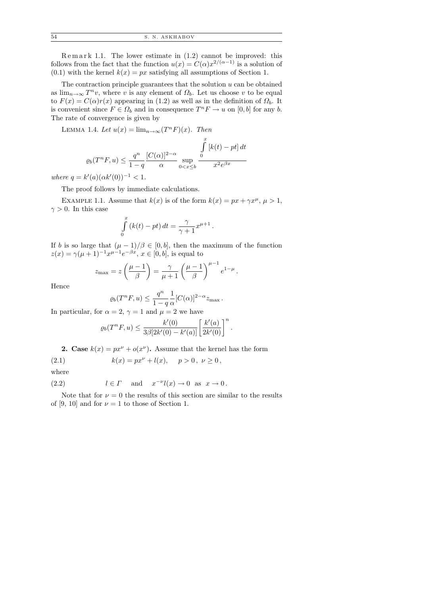$R$  e m a r k 1.1. The lower estimate in  $(1.2)$  cannot be improved: this follows from the fact that the function  $u(x) = C(\alpha)x^{2/(\alpha-1)}$  is a solution of  $(0.1)$  with the kernel  $k(x) = px$  satisfying all assumptions of Section 1.

The contraction principle guarantees that the solution  $u$  can be obtained as  $\lim_{n\to\infty} T^n v$ , where v is any element of  $\Omega_b$ . Let us choose v to be equal to  $F(x) = C(\alpha)r(x)$  appearing in (1.2) as well as in the definition of  $\Omega_b$ . It is convenient since  $F \in \Omega_b$  and in consequence  $T^n F \to u$  on  $[0, b]$  for any b. The rate of convergence is given by

LEMMA 1.4. Let  $u(x) = \lim_{n \to \infty} (T^n F)(x)$ . Then

$$
\varrho_b(T^nF, u) \le \frac{q^n}{1-q} \frac{[C(\alpha)]^{2-\alpha}}{\alpha} \sup_{0 < x \le b} \frac{\int\limits_0^x \left[k(t) - pt\right] dt}{x^2 e^{\beta x}}
$$

where  $q = k'(a)(\alpha k'(0))^{-1} < 1$ .

The proof follows by immediate calculations.

EXAMPLE 1.1. Assume that  $k(x)$  is of the form  $k(x) = px + \gamma x^{\mu}, \mu > 1$ ,  $\gamma > 0$ . In this case

$$
\int_{0}^{x} (k(t) - pt) dt = \frac{\gamma}{\gamma + 1} x^{\mu + 1}.
$$

If b is so large that  $(\mu - 1)/\beta \in [0, b]$ , then the maximum of the function  $z(x) = \gamma(\mu + 1)^{-1} x^{\mu - 1} e^{-\beta x}, x \in [0, b],$  is equal to

$$
z_{\max} = z \left(\frac{\mu - 1}{\beta}\right) = \frac{\gamma}{\mu + 1} \left(\frac{\mu - 1}{\beta}\right)^{\mu - 1} e^{1 - \mu}.
$$

Hence

$$
\varrho_b(T^nF,u) \le \frac{q^n}{1-q} \frac{1}{\alpha} [C(\alpha)]^{2-\alpha} z_{\max}.
$$

In particular, for  $\alpha = 2$ ,  $\gamma = 1$  and  $\mu = 2$  we have

$$
\varrho_b(T^n F, u) \leq \frac{k'(0)}{3\beta[2k'(0) - k'(a)]} \left[\frac{k'(a)}{2k'(0)}\right]^n.
$$

**2.** Case  $k(x) = px^{\nu} + o(x^{\nu})$ . Assume that the kernel has the form

(2.1) 
$$
k(x) = px^{\nu} + l(x), \quad p > 0, \ \nu \ge 0,
$$

where

(2.2) 
$$
l \in \Gamma
$$
 and  $x^{-\nu}l(x) \to 0$  as  $x \to 0$ .

Note that for  $\nu = 0$  the results of this section are similar to the results of [9, 10] and for  $\nu = 1$  to those of Section 1.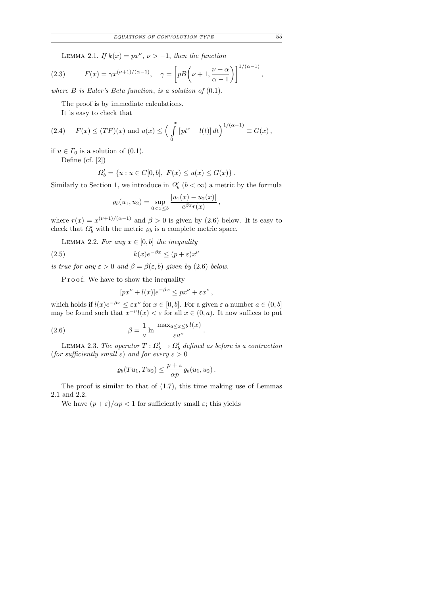LEMMA 2.1. If  $k(x) = px^{\nu}, \nu > -1$ , then the function

(2.3) 
$$
F(x) = \gamma x^{(\nu+1)/(\alpha-1)}, \quad \gamma = \left[ pB\left(\nu+1, \frac{\nu+\alpha}{\alpha-1}\right) \right]^{1/(\alpha-1)},
$$

where  $B$  is Euler's Beta function, is a solution of  $(0.1)$ .

The proof is by immediate calculations.

It is easy to check that

(2.4) 
$$
F(x) \le (TF)(x)
$$
 and  $u(x) \le \left(\int_0^x [pt^{\nu} + l(t)] dt\right)^{1/(\alpha - 1)} \equiv G(x)$ ,

if  $u \in \Gamma_0$  is a solution of (0.1).

Define (cf. [2])

$$
\Omega'_b = \{ u : u \in C[0, b], \ F(x) \le u(x) \le G(x) \}.
$$

Similarly to Section 1, we introduce in  $\Omega'_{b}$   $(b < \infty)$  a metric by the formula

$$
\varrho_b(u_1, u_2) = \sup_{0 < x \leq b} \frac{|u_1(x) - u_2(x)|}{e^{\beta x} r(x)},
$$

where  $r(x) = x^{(\nu+1)/(\alpha-1)}$  and  $\beta > 0$  is given by (2.6) below. It is easy to check that  $\Omega'_b$  with the metric  $\varrho_b$  is a complete metric space.

LEMMA 2.2. For any  $x \in [0, b]$  the inequality

(2.5) 
$$
k(x)e^{-\beta x} \le (p+\varepsilon)x^{\nu}
$$

is true for any  $\varepsilon > 0$  and  $\beta = \beta(\varepsilon, b)$  given by (2.6) below.

Proof. We have to show the inequality

$$
[px^{\nu} + l(x)]e^{-\beta x} \le px^{\nu} + \varepsilon x^{\nu},
$$

which holds if  $l(x)e^{-\beta x} \leq \varepsilon x^{\nu}$  for  $x \in [0, b]$ . For a given  $\varepsilon$  a number  $a \in (0, b]$ may be found such that  $x^{-\nu}l(x) < \varepsilon$  for all  $x \in (0, a)$ . It now suffices to put

(2.6) 
$$
\beta = \frac{1}{a} \ln \frac{\max_{a \le x \le b} l(x)}{\varepsilon a^{\nu}}.
$$

LEMMA 2.3. The operator  $T: \Omega_b' \to \Omega_b'$  defined as before is a contraction (for sufficiently small  $\varepsilon$ ) and for every  $\varepsilon > 0$ 

$$
\varrho_b(Tu_1,Tu_2)\leq \frac{p+\varepsilon}{\alpha p}\varrho_b(u_1,u_2).
$$

The proof is similar to that of (1.7), this time making use of Lemmas 2.1 and 2.2.

We have  $(p+\varepsilon)/\alpha p < 1$  for sufficiently small  $\varepsilon$ ; this yields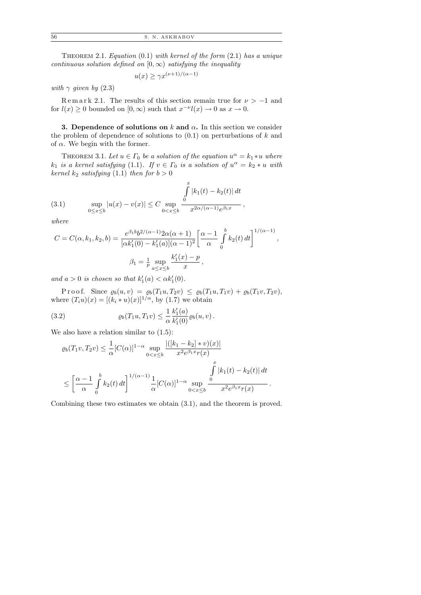THEOREM 2.1. Equation  $(0.1)$  with kernel of the form  $(2.1)$  has a unique continuous solution defined on  $[0, \infty)$  satisfying the inequality

$$
u(x) \ge \gamma x^{(\nu+1)/(\alpha-1)}
$$

with  $\gamma$  given by (2.3)

Remark 2.1. The results of this section remain true for  $\nu > -1$  and for  $l(x) \geq 0$  bounded on  $[0, \infty)$  such that  $x^{-\nu}l(x) \to 0$  as  $x \to 0$ .

3. Dependence of solutions on  $k$  and  $\alpha$ . In this section we consider the problem of dependence of solutions to  $(0.1)$  on perturbations of k and of  $\alpha$ . We begin with the former.

THEOREM 3.1. Let  $u \in \Gamma_0$  be a solution of the equation  $u^{\alpha} = k_1 * u$  where  $k_1$  is a kernel satisfying (1.1). If  $v \in \Gamma_0$  is a solution of  $u^{\alpha} = k_2 * u$  with kernel  $k_2$  satisfying (1.1) then for  $b > 0$ 

(3.1) 
$$
\sup_{0 \le x \le b} |u(x) - v(x)| \le C \sup_{0 < x \le b} \frac{\int_{0}^{x} |k_1(t) - k_2(t)| dt}{x^{2\alpha/(\alpha - 1)} e^{\beta_1 x}},
$$

where

$$
C = C(\alpha, k_1, k_2, b) = \frac{e^{\beta_1 b} b^{2/(\alpha - 1)} 2\alpha (\alpha + 1)}{[\alpha k_1'(0) - k_1'(a)](\alpha - 1)^2} \left[ \frac{\alpha - 1}{\alpha} \int_0^b k_2(t) dt \right]^{1/(\alpha - 1)},
$$
  

$$
\beta_1 = \frac{1}{p} \sup_{a \le x \le b} \frac{k_1'(x) - p}{x},
$$

and  $a > 0$  is chosen so that  $k'_1(a) < \alpha k'_1(0)$ .

P r o o f. Since  $\varrho_b(u, v) = \varrho_b(T_1u, T_2v) \leq \varrho_b(T_1u, T_1v) + \varrho_b(T_1v, T_2v),$ where  $(T_i u)(x) = [(k_i * u)(x)]^{1/\alpha}$ , by (1.7) we obtain

(3.2) 
$$
\varrho_b(T_1u, T_1v) \leq \frac{1}{\alpha} \frac{k'_1(a)}{k'_1(0)} \varrho_b(u, v).
$$

We also have a relation similar to  $(1.5)$ :

$$
\varrho_b(T_1v, T_2v) \leq \frac{1}{\alpha} [C(\alpha)]^{1-\alpha} \sup_{0 < x \leq b} \frac{|([k_1 - k_2] * v)(x)|}{x^2 e^{\beta_1 x} r(x)}
$$
\n
$$
\leq \left[ \frac{\alpha - 1}{\alpha} \int_0^b k_2(t) dt \right]^{1/(\alpha - 1)} \frac{1}{\alpha} [C(\alpha)]^{1-\alpha} \sup_{0 < x \leq b} \frac{\int_0^t |k_1(t) - k_2(t)| dt}{x^2 e^{\beta_1 x} r(x)}.
$$

Combining these two estimates we obtain (3.1), and the theorem is proved.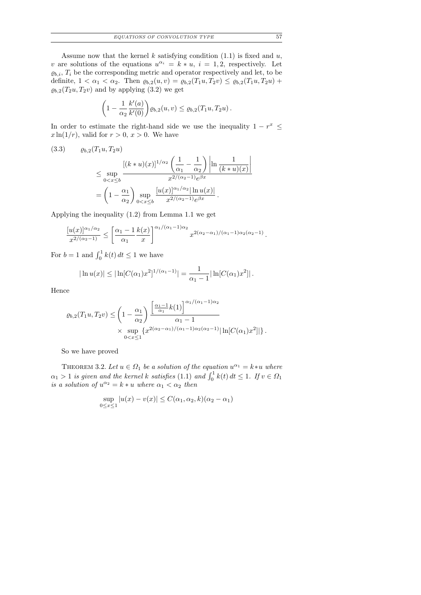Assume now that the kernel  $k$  satisfying condition  $(1.1)$  is fixed and  $u$ , v are solutions of the equations  $u^{\alpha_i} = k * u$ ,  $i = 1, 2$ , respectively. Let  $\varrho_{b,i}, T_i$  be the corresponding metric and operator respectively and let, to be definite,  $1 < \alpha_1 < \alpha_2$ . Then  $\varrho_{b,2}(u, v) = \varrho_{b,2}(T_1u, T_2v) \leq \varrho_{b,2}(T_1u, T_2u) +$  $\varrho_{b,2}(T_2u, T_2v)$  and by applying (3.2) we get

$$
\left(1 - \frac{1}{\alpha_2} \frac{k'(a)}{k'(0)}\right) \varrho_{b,2}(u,v) \leq \varrho_{b,2}(T_1 u, T_2 u).
$$

In order to estimate the right-hand side we use the inequality  $1 - r^x \leq$  $x \ln(1/r)$ , valid for  $r > 0$ ,  $x > 0$ . We have

$$
(3.3) \quad \rho_{b,2}(T_1u, T_2u)
$$
\n
$$
\leq \sup_{0 < x \leq b} \frac{\left[ (k * u)(x) \right]^{1/\alpha_2} \left( \frac{1}{\alpha_1} - \frac{1}{\alpha_2} \right) \left| \ln \frac{1}{(k * u)(x)} \right|}{x^{2/(\alpha_2 - 1)} e^{\beta x}}
$$
\n
$$
= \left( 1 - \frac{\alpha_1}{\alpha_2} \right) \sup_{0 < x \leq b} \frac{\left[ u(x) \right]^{\alpha_1/\alpha_2} \left| \ln u(x) \right|}{x^{2/(\alpha_2 - 1)} e^{\beta x}}.
$$

Applying the inequality (1.2) from Lemma 1.1 we get

$$
\frac{[u(x)]^{\alpha_1/\alpha_2}}{x^{2/(\alpha_2-1)}} \le \left[\frac{\alpha_1-1}{\alpha_1}\frac{k(x)}{x}\right]^{\alpha_1/(\alpha_1-1)\alpha_2} x^{2(\alpha_2-\alpha_1)/(\alpha_1-1)\alpha_2(\alpha_2-1)}.
$$

For  $b = 1$  and  $\int_0^1 k(t) dt \le 1$  we have

$$
|\ln u(x)| \leq |\ln[C(\alpha_1)x^2]^{1/(\alpha_1-1)}| = \frac{1}{\alpha_1-1} |\ln[C(\alpha_1)x^2]|.
$$

Hence

$$
\varrho_{b,2}(T_1 u, T_2 v) \leq \left(1 - \frac{\alpha_1}{\alpha_2}\right) \frac{\left[\frac{\alpha_1 - 1}{\alpha_1} k(1)\right]^{\alpha_1/(\alpha_1 - 1)\alpha_2}}{\alpha_1 - 1} \times \sup_{0 < x \leq 1} \{x^{2(\alpha_2 - \alpha_1)/(\alpha_1 - 1)\alpha_2(\alpha_2 - 1)} |\ln[C(\alpha_1)x^2]|\}.
$$

So we have proved

THEOREM 3.2. Let  $u \in \Omega_1$  be a solution of the equation  $u^{\alpha_1} = k * u$  where  $\alpha_1 > 1$  is given and the kernel k satisfies (1.1) and  $\int_0^1 k(t) dt \le 1$ . If  $v \in \Omega_1$ is a solution of  $u^{\alpha_2} = k * u$  where  $\alpha_1 < \alpha_2$  then

$$
\sup_{0 \le x \le 1} |u(x) - v(x)| \le C(\alpha_1, \alpha_2, k)(\alpha_2 - \alpha_1)
$$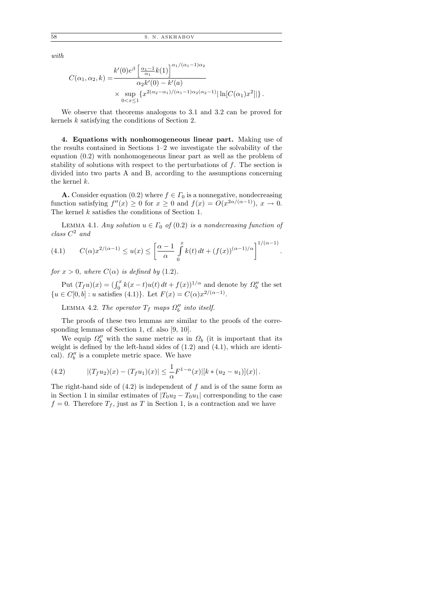with

$$
C(\alpha_1, \alpha_2, k) = \frac{k'(0)e^{\beta} \left[ \frac{\alpha_1 - 1}{\alpha_1} k(1) \right]^{\alpha_1/(\alpha_1 - 1)\alpha_2}}{\alpha_2 k'(0) - k'(a)} \times \sup_{0 < x \le 1} \{ x^{2(\alpha_2 - \alpha_1)/(\alpha_1 - 1)\alpha_2(\alpha_2 - 1)} |\ln[C(\alpha_1)x^2]|\}.
$$

We observe that theorems analogous to 3.1 and 3.2 can be proved for kernels k satisfying the conditions of Section 2.

4. Equations with nonhomogeneous linear part. Making use of the results contained in Sections 1–2 we investigate the solvability of the equation (0.2) with nonhomogeneous linear part as well as the problem of stability of solutions with respect to the perturbations of f. The section is divided into two parts A and B, according to the assumptions concerning the kernel k.

**A.** Consider equation (0.2) where  $f \in \Gamma_0$  is a nonnegative, nondecreasing function satisfying  $f''(x) \geq 0$  for  $x \geq 0$  and  $f(x) = O(x^{2\alpha/(\alpha-1)})$ ,  $x \to 0$ . The kernel k satisfies the conditions of Section 1.

LEMMA 4.1. Any solution  $u \in \Gamma_0$  of  $(0.2)$  is a nondecreasing function of  $class C<sup>2</sup>$  and

(4.1) 
$$
C(\alpha)x^{2/(\alpha-1)} \le u(x) \le \left[\frac{\alpha-1}{\alpha}\int_{0}^{x}k(t) dt + (f(x))^{(\alpha-1)/\alpha}\right]^{1/(\alpha-1)}.
$$

for  $x > 0$ , where  $C(\alpha)$  is defined by (1.2).

Put  $(T_f u)(x) = (\int_0^x k(x-t)u(t) dt + f(x))^{1/\alpha}$  and denote by  $\Omega_b''$  the set  $\{u \in C[0, b] : u \text{ satisfies (4.1)}\}.$  Let  $F(x) = C(\alpha)x^{2/(\alpha - 1)}$ .

LEMMA 4.2. The operator  $T_f$  maps  $\Omega''_b$  into itself.

The proofs of these two lemmas are similar to the proofs of the corresponding lemmas of Section 1, cf. also [9, 10].

We equip  $\Omega_b''$  with the same metric as in  $\Omega_b$  (it is important that its weight is defined by the left-hand sides of (1.2) and (4.1), which are identical).  $\Omega_b^{\prime\prime}$  is a complete metric space. We have

(4.2) 
$$
|(T_f u_2)(x) - (T_f u_1)(x)| \leq \frac{1}{\alpha} F^{1-\alpha}(x) |[k * (u_2 - u_1)](x)|.
$$

The right-hand side of  $(4.2)$  is independent of f and is of the same form as in Section 1 in similar estimates of  $|T_0u_2 - T_0u_1|$  corresponding to the case  $f = 0$ . Therefore  $T_f$ , just as T in Section 1, is a contraction and we have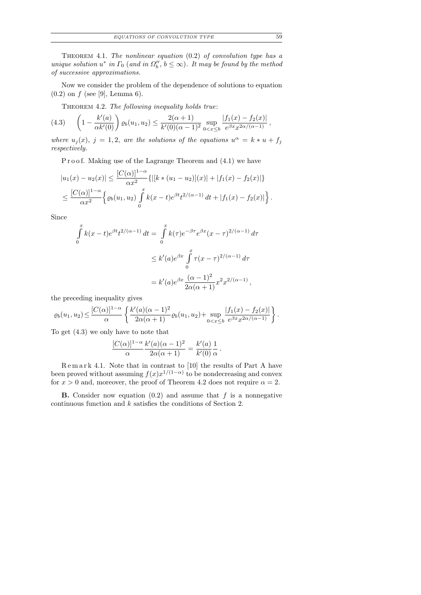THEOREM 4.1. The nonlinear equation  $(0.2)$  of convolution type has a unique solution  $u^*$  in  $\Gamma_0$  (and in  $\Omega''_b$ ,  $b \leq \infty$ ). It may be found by the method of successive approximations.

Now we consider the problem of the dependence of solutions to equation  $(0.2)$  on f (see [9], Lemma 6).

THEOREM 4.2. The following inequality holds true:

$$
(4.3) \qquad \left(1 - \frac{k'(a)}{\alpha k'(0)}\right) \varrho_b(u_1, u_2) \le \frac{2(\alpha + 1)}{k'(0)(\alpha - 1)^2} \sup_{0 < x \le b} \frac{|f_1(x) - f_2(x)|}{e^{\beta x} x^{2\alpha/(\alpha - 1)}},
$$

where  $u_j(x)$ ,  $j = 1, 2$ , are the solutions of the equations  $u^{\alpha} = k * u + f_j$ respectively.

P r o o f. Making use of the Lagrange Theorem and  $(4.1)$  we have

$$
|u_1(x) - u_2(x)| \le \frac{[C(\alpha)]^{1-\alpha}}{\alpha x^2} \{ |[k*(u_1 - u_2)](x)| + |f_1(x) - f_2(x)| \}
$$
  

$$
\le \frac{[C(\alpha)]^{1-\alpha}}{\alpha x^2} \left\{ \varrho_b(u_1, u_2) \int_0^x k(x - t) e^{\beta t} t^{2/(\alpha - 1)} dt + |f_1(x) - f_2(x)| \right\}.
$$

Since

$$
\int_{0}^{x} k(x-t)e^{\beta t}t^{2/(\alpha-1)} dt = \int_{0}^{x} k(\tau)e^{-\beta \tau}e^{\beta x}(x-\tau)^{2/(\alpha-1)} d\tau
$$
  

$$
\leq k'(a)e^{\beta x} \int_{0}^{x} \tau(x-\tau)^{2/(\alpha-1)} d\tau
$$
  

$$
= k'(a)e^{\beta x} \frac{(\alpha-1)^{2}}{2\alpha(\alpha+1)}x^{2}x^{2/(\alpha-1)},
$$

the preceding inequality gives

$$
\varrho_b(u_1, u_2) \le \frac{[C(\alpha)]^{1-\alpha}}{\alpha} \left\{ \frac{k'(a)(\alpha-1)^2}{2\alpha(\alpha+1)} \varrho_b(u_1, u_2) + \sup_{0 < x \le b} \frac{|f_1(x) - f_2(x)|}{e^{\beta x} x^{2\alpha/(\alpha-1)}} \right\}.
$$

To get (4.3) we only have to note that

$$
\frac{[C(\alpha)]^{1-\alpha}}{\alpha} \frac{k'(a)(\alpha-1)^2}{2\alpha(\alpha+1)} = \frac{k'(a)}{k'(0)} \frac{1}{\alpha}
$$

.

 $R$ e m a r k 4.1. Note that in contrast to [10] the results of Part A have been proved without assuming  $f(x)x^{1/(1-\alpha)}$  to be nondecreasing and convex for  $x > 0$  and, moreover, the proof of Theorem 4.2 does not require  $\alpha = 2$ .

**B.** Consider now equation  $(0.2)$  and assume that f is a nonnegative continuous function and k satisfies the conditions of Section 2.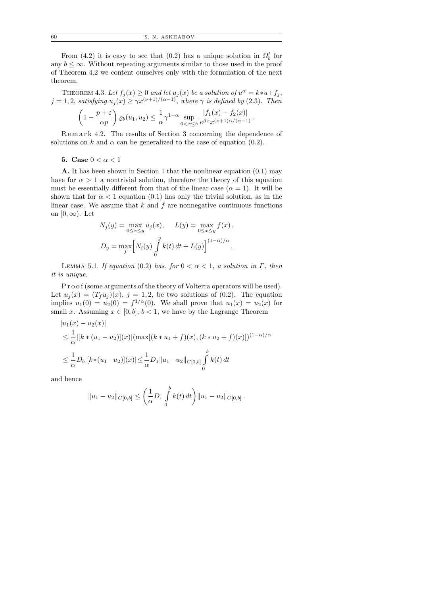60 S. N. ASKHABOV

From (4.2) it is easy to see that (0.2) has a unique solution in  $\Omega'_b$  for any  $b \leq \infty$ . Without repeating arguments similar to those used in the proof of Theorem 4.2 we content ourselves only with the formulation of the next theorem.

THEOREM 4.3. Let  $f_j(x) \geq 0$  and let  $u_j(x)$  be a solution of  $u^{\alpha} = k * u + f_j$ ,  $j = 1, 2$ , satisfying  $u_j(x) \geq \gamma x^{(\nu+1)/(\alpha-1)}$ , where  $\gamma$  is defined by (2.3). Then

$$
\left(1-\frac{p+\varepsilon}{\alpha p}\right)\varrho_b(u_1,u_2) \leq \frac{1}{\alpha}\gamma^{1-\alpha}\sup_{0
$$

R e m a r k 4.2. The results of Section 3 concerning the dependence of solutions on k and  $\alpha$  can be generalized to the case of equation (0.2).

5. Case  $0 < \alpha < 1$ 

A. It has been shown in Section 1 that the nonlinear equation (0.1) may have for  $\alpha > 1$  a nontrivial solution, therefore the theory of this equation must be essentially different from that of the linear case  $(\alpha = 1)$ . It will be shown that for  $\alpha < 1$  equation (0.1) has only the trivial solution, as in the linear case. We assume that  $k$  and  $f$  are nonnegative continuous functions on  $[0,\infty)$ . Let

$$
N_j(y) = \max_{0 \le x \le y} u_j(x), \qquad L(y) = \max_{0 \le x \le y} f(x),
$$
  

$$
D_y = \max_j \left[ N_i(y) \int_0^y k(t) dt + L(y) \right]^{(1-\alpha)/\alpha}.
$$

LEMMA 5.1. If equation (0.2) has, for  $0 < \alpha < 1$ , a solution in  $\Gamma$ , then it is unique.

P r o o f (some arguments of the theory of Volterra operators will be used). Let  $u_j(x) = (T_f u_j)(x)$ ,  $j = 1, 2$ , be two solutions of (0.2). The equation implies  $u_1(0) = u_2(0) = f^{1/\alpha}(0)$ . We shall prove that  $u_1(x) = u_2(x)$  for small x. Assuming  $x \in [0, b], b < 1$ , we have by the Lagrange Theorem

$$
|u_1(x) - u_2(x)|
$$
  
\n
$$
\leq \frac{1}{\alpha} |[k * (u_1 - u_2)](x)| (\max[(k * u_1 + f)(x), (k * u_2 + f)(x)])^{(1-\alpha)/\alpha}
$$
  
\n
$$
\leq \frac{1}{\alpha} D_b |[k * (u_1 - u_2)](x)| \leq \frac{1}{\alpha} D_1 ||u_1 - u_2||_{C[0,b]} \int_0^b k(t) dt
$$

and hence

$$
||u_1 - u_2||_{C[0,b]} \leq \left(\frac{1}{\alpha}D_1 \int_0^b k(t) dt\right) ||u_1 - u_2||_{C[0,b]}.
$$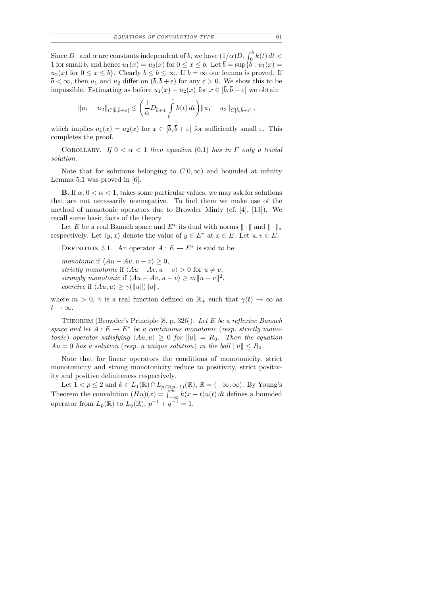Since  $D_1$  and  $\alpha$  are constants independent of b, we have  $(1/\alpha)D_1\int_0^b k(t)\,dt$ 1 for small b, and hence  $u_1(x) = u_2(x)$  for  $0 \le x \le b$ . Let  $\overline{b} = \sup\{\breve{b} : u_1(x) = b\}$  $u_2(x)$  for  $0 \le x \le b$ . Clearly  $b \le \overline{b} \le \infty$ . If  $\overline{b} = \infty$  our lemma is proved. If  $\overline{b} < \infty$ , then  $u_1$  and  $u_2$  differ on  $(\overline{b}, \overline{b} + \varepsilon)$  for any  $\varepsilon > 0$ . We show this to be impossible. Estimating as before  $u_1(x) - u_2(x)$  for  $x \in [\bar{b}, \bar{b} + \varepsilon]$  we obtain

$$
||u_1 - u_2||_{C[\bar{b},\bar{b}+\varepsilon]} \leq \left(\frac{1}{\alpha}D_{\bar{b}+1}\int\limits_0^{\varepsilon} k(t) dt\right)||u_1 - u_2||_{C[\bar{b},\bar{b}+\varepsilon]},
$$

which implies  $u_1(x) = u_2(x)$  for  $x \in [\overline{b}, \overline{b} + \varepsilon]$  for sufficiently small  $\varepsilon$ . This completes the proof.

COROLLARY. If  $0 < \alpha < 1$  then equation (0.1) has in  $\Gamma$  only a trivial solution.

Note that for solutions belonging to  $C[0,\infty)$  and bounded at infinity Lemma 5.1 was proved in [6].

**B.** If  $\alpha$ ,  $0 < \alpha < 1$ , takes some particular values, we may ask for solutions that are not necessarily nonnegative. To find them we make use of the method of monotonic operators due to Browder–Minty (cf. [4], [13]). We recall some basic facts of the theory.

Let E be a real Banach space and  $E^*$  its dual with norms  $\|\cdot\|$  and  $\|\cdot\|_*$ respectively. Let  $\langle y, x \rangle$  denote the value of  $y \in E^*$  at  $x \in E$ . Let  $u, v \in E$ .

DEFINITION 5.1. An operator  $A: E \to E^*$  is said to be

monotonic if  $\langle Au - Av, u - v \rangle \geq 0$ , strictly monotonic if  $\langle Au - Av, u - v \rangle > 0$  for  $u \neq v$ , strongly monotonic if  $\langle Au - Av, u - v \rangle \ge m ||u - v||^2$ , *coercive* if  $\langle Au, u \rangle \geq \gamma(||u||) ||u||$ ,

where  $m > 0$ ,  $\gamma$  is a real function defined on  $\mathbb{R}_+$  such that  $\gamma(t) \to \infty$  as  $t\rightarrow\infty.$ 

THEOREM (Browder's Principle [8, p. 326]). Let E be a reflexive Banach space and let  $A: E \to E^*$  be a continuous monotonic (resp. strictly monotonic) operator satisfying  $\langle Au, u \rangle \geq 0$  for  $||u|| = R_0$ . Then the equation  $Au = 0$  has a solution (resp. a unique solution) in the ball  $||u|| \le R_0$ .

Note that for linear operators the conditions of monotonicity, strict monotonicity and strong monotonicity reduce to positivity, strict positivity and positive definiteness respectively.

Let  $1 < p \leq 2$  and  $k \in L_1(\mathbb{R}) \cap L_{p/2(p-1)}(\mathbb{R})$ ,  $\mathbb{R} = (-\infty, \infty)$ . By Young's Theorem the convolution  $(Hu)(x) = \int_{-\infty}^{\infty} k(x-t)u(t) dt$  defines a bounded operator from  $L_p(\mathbb{R})$  to  $L_q(\mathbb{R})$ ,  $p^{-1} + q^{-1} = 1$ .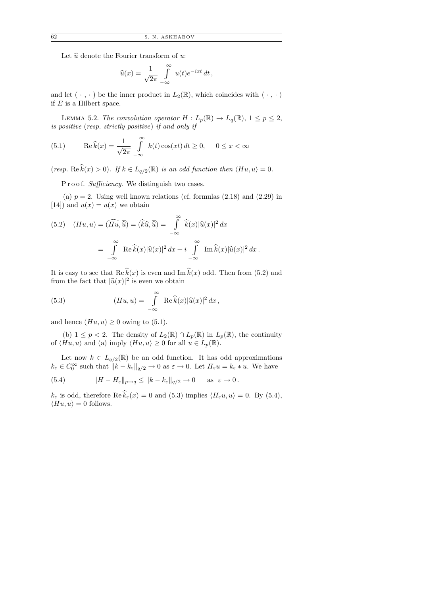Let  $\hat{u}$  denote the Fourier transform of u:

$$
\widehat{u}(x) = \frac{1}{\sqrt{2\pi}} \int_{-\infty}^{\infty} u(t)e^{-ixt} dt,
$$

and let  $(\cdot, \cdot)$  be the inner product in  $L_2(\mathbb{R})$ , which coincides with  $\langle \cdot, \cdot \rangle$ if  $E$  is a Hilbert space.

LEMMA 5.2. The convolution operator  $H: L_p(\mathbb{R}) \to L_q(\mathbb{R})$ ,  $1 \leq p \leq 2$ , is positive (resp. strictly positive) if and only if

(5.1) 
$$
\operatorname{Re}\widehat{k}(x) = \frac{1}{\sqrt{2\pi}} \int_{-\infty}^{\infty} k(t) \cos(xt) dt \ge 0, \quad 0 \le x < \infty
$$

(resp. Re  $\hat{k}(x) > 0$ ). If  $k \in L_{q/2}(\mathbb{R})$  is an odd function then  $\langle Hu, u \rangle = 0$ .

P r o o f. Sufficiency. We distinguish two cases.

(a)  $p = 2$ . Using well known relations (cf. formulas  $(2.18)$  and  $(2.29)$  in [14]) and  $u(x) = u(x)$  we obtain

(5.2) 
$$
(Hu, u) = (\widehat{Hu}, \overline{\hat{u}}) = (\widehat{k}\hat{u}, \overline{\hat{u}}) = \int_{-\infty}^{\infty} \widehat{k}(x)|\widehat{u}(x)|^2 dx
$$

$$
= \int_{-\infty}^{\infty} \operatorname{Re}\widehat{k}(x)|\widehat{u}(x)|^2 dx + i \int_{-\infty}^{\infty} \operatorname{Im}\widehat{k}(x)|\widehat{u}(x)|^2 dx.
$$

It is easy to see that  $\text{Re }\hat{k}(x)$  is even and  $\text{Im }\hat{k}(x)$  odd. Then from (5.2) and from the fact that  $|\widehat{u}(x)|^2$  is even we obtain

(5.3) 
$$
(Hu, u) = \int_{-\infty}^{\infty} \text{Re}\,\hat{k}(x)|\hat{u}(x)|^2 dx,
$$

and hence  $(Hu, u) \geq 0$  owing to (5.1).

(b)  $1 \leq p < 2$ . The density of  $L_2(\mathbb{R}) \cap L_p(\mathbb{R})$  in  $L_p(\mathbb{R})$ , the continuity of  $\langle Hu, u\rangle$  and (a) imply  $\langle Hu, u\rangle \ge 0$  for all  $u \in L_p(\mathbb{R})$ .

Let now  $k \in L_{q/2}(\mathbb{R})$  be an odd function. It has odd approximations  $k_{\varepsilon} \in C_0^{\infty}$  such that  $||k - k_{\varepsilon}||_{q/2} \to 0$  as  $\varepsilon \to 0$ . Let  $H_{\varepsilon}u = k_{\varepsilon} * u$ . We have

(5.4) 
$$
||H - H_{\varepsilon}||_{p \to q} \le ||k - k_{\varepsilon}||_{q/2} \to 0 \quad \text{as } \varepsilon \to 0.
$$

 $k_{\varepsilon}$  is odd, therefore  $\text{Re}\,\widehat{k}_{\varepsilon}(x) = 0$  and (5.3) implies  $\langle H_{\varepsilon}u, u \rangle = 0$ . By (5.4),  $\langle Hu, u\rangle = 0$  follows.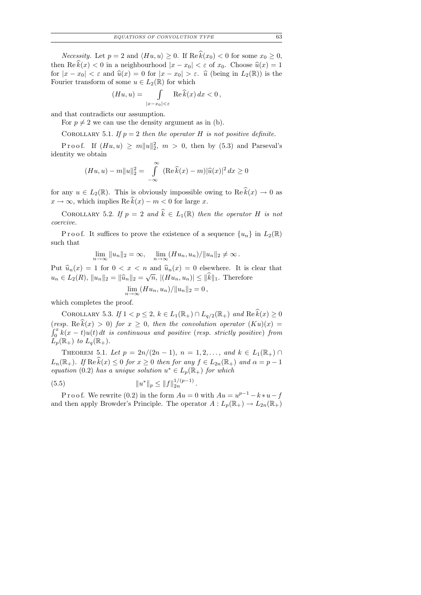*Necessity.* Let  $p = 2$  and  $\langle Hu, u \rangle \ge 0$ . If  $\text{Re } \hat{k}(x_0) < 0$  for some  $x_0 \ge 0$ , then  $\text{Re}\,\hat{k}(x) < 0$  in a neighbourhood  $|x - x_0| < \varepsilon$  of  $x_0$ . Choose  $\hat{u}(x) = 1$ for  $|x-x_0| < \varepsilon$  and  $\hat{u}(x) = 0$  for  $|x-x_0| > \varepsilon$ .  $\hat{u}$  (being in  $L_2(\mathbb{R})$ ) is the Fourier transform of some  $u \in L_2(\mathbb{R})$  for which

$$
(Hu, u) = \int_{|x - x_0| < \varepsilon} \text{Re}\,\widehat{k}(x) \, dx < 0 \,,
$$

and that contradicts our assumption.

For  $p \neq 2$  we can use the density argument as in (b).

COROLLARY 5.1. If  $p = 2$  then the operator H is not positive definite.

Proof. If  $(Hu, u) \ge m||u||_2^2$ ,  $m > 0$ , then by (5.3) and Parseval's identity we obtain

$$
(Hu, u) - m||u||_2^2 = \int_{-\infty}^{\infty} (\text{Re}\,\hat{k}(x) - m)|\hat{u}(x)|^2 dx \ge 0
$$

for any  $u \in L_2(\mathbb{R})$ . This is obviously impossible owing to  $\operatorname{Re} \widehat{k}(x) \to 0$  as  $x \to \infty$ , which implies Re  $\hat{k}(x) - m < 0$  for large x.

COROLLARY 5.2. If  $p = 2$  and  $\hat{k} \in L_1(\mathbb{R})$  then the operator H is not coercive.

P r o o f. It suffices to prove the existence of a sequence  $\{u_n\}$  in  $L_2(\mathbb{R})$ such that

$$
\lim_{n \to \infty} ||u_n||_2 = \infty, \quad \lim_{n \to \infty} (Hu_n, u_n) / ||u_n||_2 \neq \infty.
$$

Put  $\widehat{u}_n(x) = 1$  for  $0 < x < n$  and  $\widehat{u}_n(x) = 0$  elsewhere. It is clear that  $u_n \in L_2(R)$ ,  $||u_n||_2 = ||\widehat{u}_n||_2 = \sqrt{n}$ ,  $|(Hu_n, u_n)| \le ||k||_1$ . Therefore

$$
\lim_{n\to\infty}(Hu_n,u_n)/\|u_n\|_2=0,
$$

which completes the proof.

COROLLARY 5.3. If  $1 < p \leq 2$ ,  $k \in L_1(\mathbb{R}_+) \cap L_{q/2}(\mathbb{R}_+)$  and  $\text{Re } \widehat{k}(x) \geq 0$ (resp. Re  $\hat{k}(x) > 0$ ) for  $x \geq 0$ , then the convolution operator  $(Ku)(x) =$  $\int_0^x k(x-t)u(t) dt$  is continuous and positive (resp. strictly positive) from  $L_p(\mathbb{R}_+)$  to  $L_q(\mathbb{R}_+).$ 

THEOREM 5.1. Let  $p = 2n/(2n-1)$ ,  $n = 1, 2, ...,$  and  $k \in L_1(\mathbb{R}_+) \cap$  $L_n(\mathbb{R}_+).$  If  $\text{Re }k(x) \leq 0$  for  $x \geq 0$  then for any  $f \in L_{2n}(\mathbb{R}_+)$  and  $\alpha = p - 1$ equation (0.2) has a unique solution  $u^* \in L_p(\mathbb{R}_+)$  for which

(5.5) 
$$
||u^*||_p \le ||f||_{2n}^{1/(p-1)}
$$

P r o o f. We rewrite (0.2) in the form  $Au = 0$  with  $Au = u^{p-1} - k * u - f$ and then apply Browder's Principle. The operator  $A: L_p(\mathbb{R}_+) \to L_{2n}(\mathbb{R}_+)$ 

.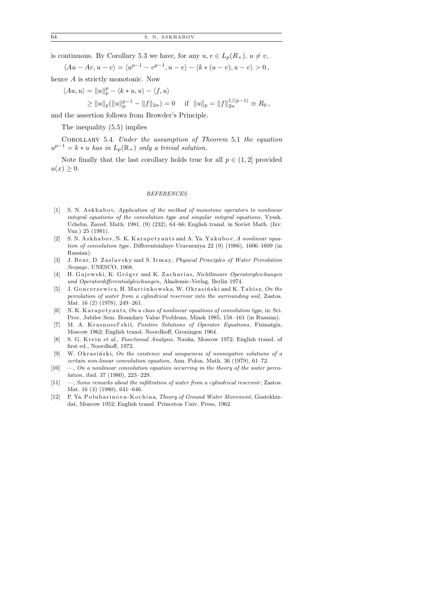is continuous. By Corollary 5.3 we have, for any  $u, v \in L_n(R_+), u \neq v$ ,

$$
\langle Au - Av, u - v \rangle = \langle u^{p-1} - v^{p-1}, u - v \rangle - \langle k * (u - v), u - v \rangle > 0,
$$

hence A is strictly monotonic. Now

$$
\langle Au,u\rangle=\|u\|_p^p-\langle k*u,u\rangle-\langle f,u\rangle
$$

$$
\geq ||u||_p(||u||_p^{p-1} - ||f||_{2n}) = 0 \quad \text{ if } ||u||_p = ||f||_{2n}^{1/(p-1)} \equiv R_0,
$$

and the assertion follows from Browder's Principle.

The inequality (5.5) implies

Corollary 5.4. Under the assumption of Theorem 5.1 the equation  $u^{p-1} = k * u$  has in  $L_p(\mathbb{R}_+)$  only a trivial solution.

Note finally that the last corollary holds true for all  $p \in (1, 2]$  provided  $u(x) \geq 0.$ 

#### REFERENCES

- $[1]$  S. N. Askhabov, Application of the method of monotone operators to nonlinear integral equations of the convolution type and singular integral equations, Vyssh. Uchebn. Zaved. Math. 1981, (9) (232), 64–66; English transl. in Soviet Math. (Izv. Vuz.) 25 (1981).
- [2] S. N. Askhabov, N. K. Karapetyants and A. Ya. Yakubov, A nonlinear equation of convolution type, Differentsialnye Uravneniya 22 (9) (1986), 1606–1609 (in Russian).
- [3] J. Bear, D. Zaslavsky and S. Irmay, Physical Principles of Water Percolation Seepage, UNESCO, 1968.
- [4] H. Gajewski, K. Gröger und K. Zacharias, Nichtlineare Operatorgleichungen und Operatordifferentialgleichungen, Akademie -Verlag, Berlin 1974.
- [5] J. Goncerzewicz, H. Marcinkowska, W. Okrasiński and K. Tabisz, On the percolation of water from a cylindrical reservoir into the surrounding soil, Zastos. Mat. 16 (2) (1978), 249 –261.
- [6] N. K. K arapety ants, On a class of nonlinear equations of convolution type, in: Sci. Proc. Jubilee Sem. Boundary Value Problems, Minsk 1985, 158-161 (in Russian).
- [7] M. A. Krasnoseł'skii, Positive Solutions of Operator Equations, Fizmatgiz, Moscow 1962; English transl. Noordhoff, Groningen 1964.
- [8] S. G. Krein et al., Functional Analysis, Nauka, Moscow 1972; English transl. of first ed., Noordhoff, 1972.
- $[9]$  W. O k rasingly in the existence and uniqueness of nonnegative solutions of a certain non-linear convolution equation, Ann. Polon. Math. 36 (1979), 61–72.
- $[10] \quad -$ , On a nonlinear convolution equation occurring in the theory of the water percolation, ibid. 37 (1980), 223 –229.
- $[11] \quad -$ , Some remarks about the infiltration of water from a cylindrical reservoir, Zastos. Mat. 16 (4) (1980), 641-646.
- [12] P. Ya. Polubarinova-Kochina, Theory of Ground Water Movement, Gostekhizdat, Moscow 1952; English transl. Princeton Univ. Press, 1962.